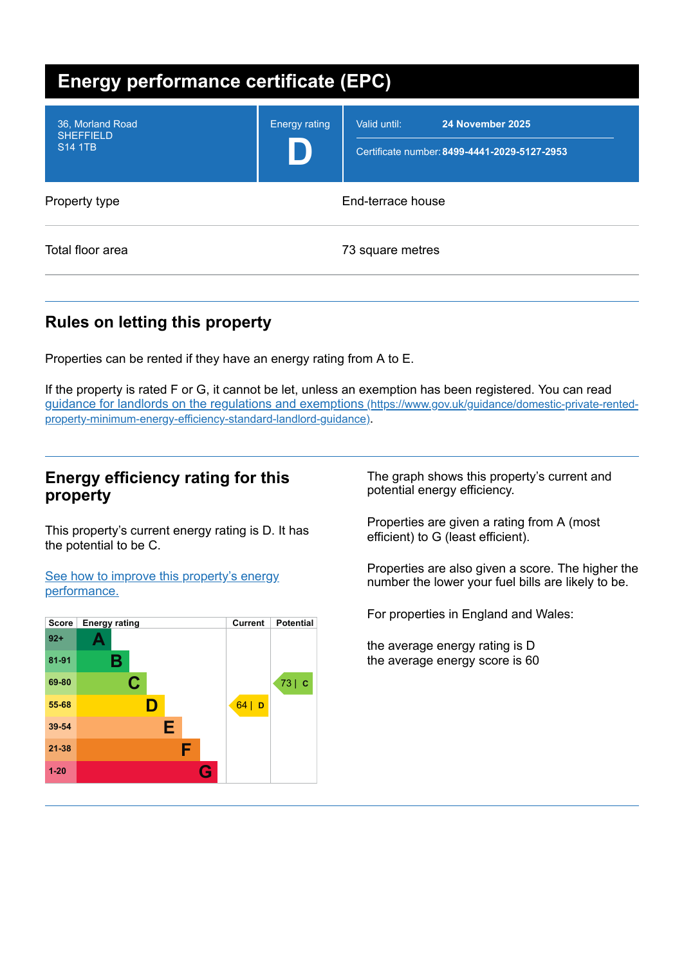| <b>Energy performance certificate (EPC)</b>            |                      |                                                                                  |  |
|--------------------------------------------------------|----------------------|----------------------------------------------------------------------------------|--|
| 36, Morland Road<br><b>SHEFFIELD</b><br><b>S14 1TB</b> | <b>Energy rating</b> | Valid until:<br>24 November 2025<br>Certificate number: 8499-4441-2029-5127-2953 |  |
| Property type                                          |                      | End-terrace house                                                                |  |
| Total floor area                                       |                      | 73 square metres                                                                 |  |

# **Rules on letting this property**

Properties can be rented if they have an energy rating from A to E.

If the property is rated F or G, it cannot be let, unless an exemption has been registered. You can read guidance for landlords on the regulations and exemptions (https://www.gov.uk/guidance/domestic-private-rented[property-minimum-energy-efficiency-standard-landlord-guidance\)](https://www.gov.uk/guidance/domestic-private-rented-property-minimum-energy-efficiency-standard-landlord-guidance).

## **Energy efficiency rating for this property**

This property's current energy rating is D. It has the potential to be C.

See how to improve this property's energy [performance.](#page-2-0)



The graph shows this property's current and potential energy efficiency.

Properties are given a rating from A (most efficient) to G (least efficient).

Properties are also given a score. The higher the number the lower your fuel bills are likely to be.

For properties in England and Wales:

the average energy rating is D the average energy score is 60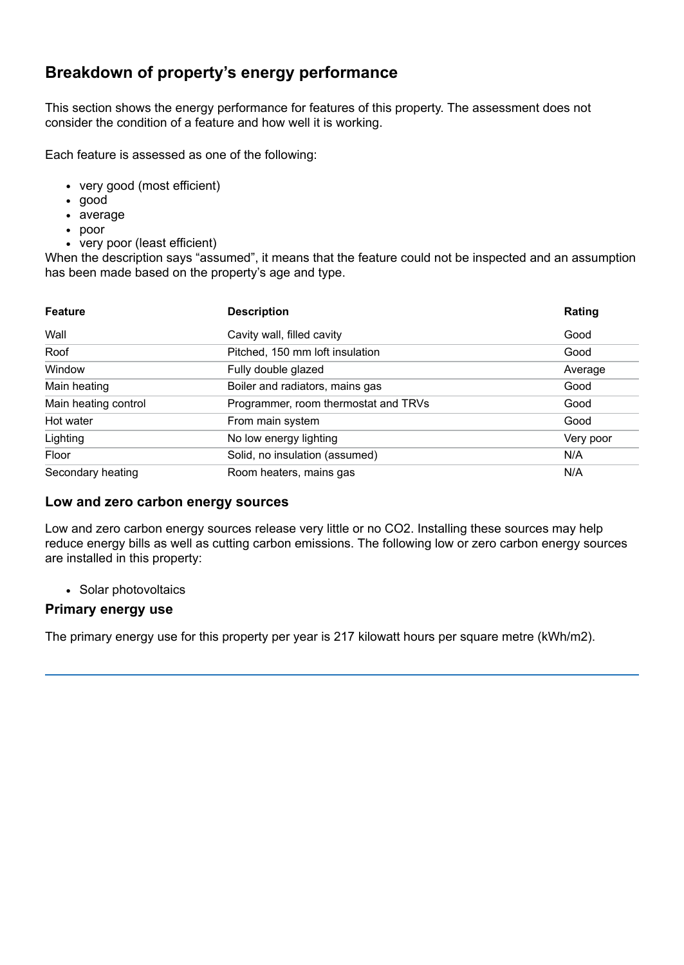# **Breakdown of property's energy performance**

This section shows the energy performance for features of this property. The assessment does not consider the condition of a feature and how well it is working.

Each feature is assessed as one of the following:

- very good (most efficient)
- good
- average
- poor
- very poor (least efficient)

When the description says "assumed", it means that the feature could not be inspected and an assumption has been made based on the property's age and type.

| <b>Feature</b>       | <b>Description</b>                   | Rating    |
|----------------------|--------------------------------------|-----------|
| Wall                 | Cavity wall, filled cavity           | Good      |
| Roof                 | Pitched, 150 mm loft insulation      | Good      |
| Window               | Fully double glazed                  | Average   |
| Main heating         | Boiler and radiators, mains gas      | Good      |
| Main heating control | Programmer, room thermostat and TRVs | Good      |
| Hot water            | From main system                     | Good      |
| Lighting             | No low energy lighting               | Very poor |
| Floor                | Solid, no insulation (assumed)       | N/A       |
| Secondary heating    | Room heaters, mains gas              | N/A       |

#### **Low and zero carbon energy sources**

Low and zero carbon energy sources release very little or no CO2. Installing these sources may help reduce energy bills as well as cutting carbon emissions. The following low or zero carbon energy sources are installed in this property:

• Solar photovoltaics

#### **Primary energy use**

The primary energy use for this property per year is 217 kilowatt hours per square metre (kWh/m2).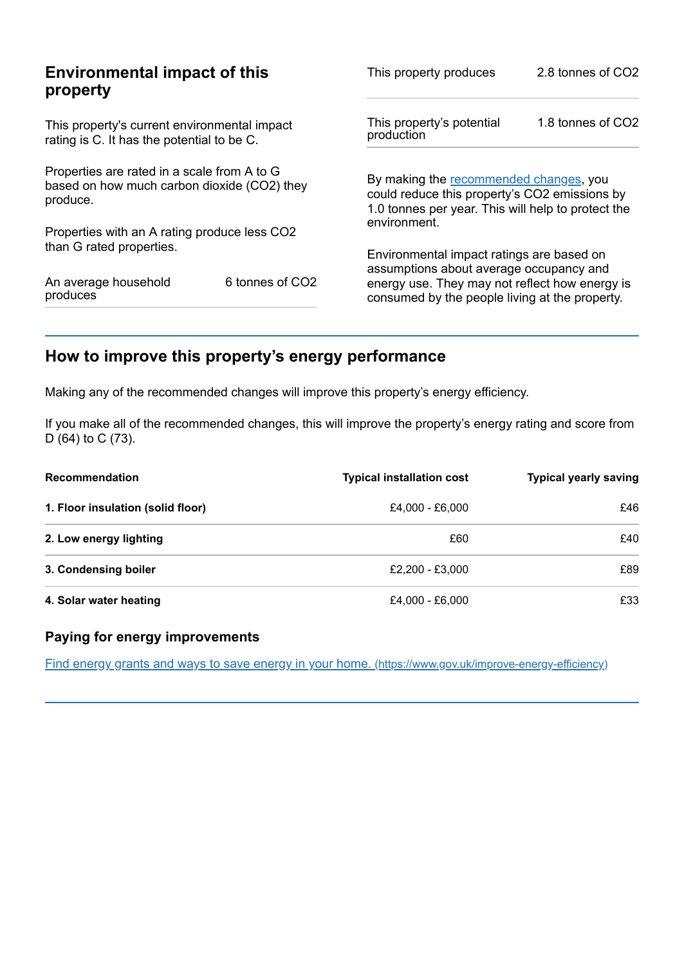| <b>Environmental impact of this</b><br>property                                                        |                                                                                                  | 2.8 tonnes of CO2                                                                                                                                                         |  |
|--------------------------------------------------------------------------------------------------------|--------------------------------------------------------------------------------------------------|---------------------------------------------------------------------------------------------------------------------------------------------------------------------------|--|
| This property's current environmental impact<br>rating is C. It has the potential to be C.             |                                                                                                  | 1.8 tonnes of CO2                                                                                                                                                         |  |
| Properties are rated in a scale from A to G<br>based on how much carbon dioxide (CO2) they<br>produce. |                                                                                                  | By making the recommended changes, you<br>could reduce this property's CO2 emissions by<br>1.0 tonnes per year. This will help to protect the                             |  |
|                                                                                                        |                                                                                                  |                                                                                                                                                                           |  |
|                                                                                                        |                                                                                                  |                                                                                                                                                                           |  |
| 6 tonnes of CO2                                                                                        | energy use. They may not reflect how energy is<br>consumed by the people living at the property. |                                                                                                                                                                           |  |
|                                                                                                        | Properties with an A rating produce less CO2                                                     | This property produces<br>This property's potential<br>production<br>environment.<br>Environmental impact ratings are based on<br>assumptions about average occupancy and |  |

# <span id="page-2-0"></span>**How to improve this property's energy performance**

Making any of the recommended changes will improve this property's energy efficiency.

If you make all of the recommended changes, this will improve the property's energy rating and score from D (64) to C (73).

| <b>Recommendation</b>             | <b>Typical installation cost</b> | <b>Typical yearly saving</b> |
|-----------------------------------|----------------------------------|------------------------------|
| 1. Floor insulation (solid floor) | £4,000 - £6,000                  | £46                          |
| 2. Low energy lighting            | £60                              | £40                          |
| 3. Condensing boiler              | £2,200 - £3,000                  | £89                          |
| 4. Solar water heating            | £4,000 - £6,000                  | £33                          |

## **Paying for energy improvements**

Find energy grants and ways to save energy in your home. [\(https://www.gov.uk/improve-energy-efficiency\)](https://www.gov.uk/improve-energy-efficiency)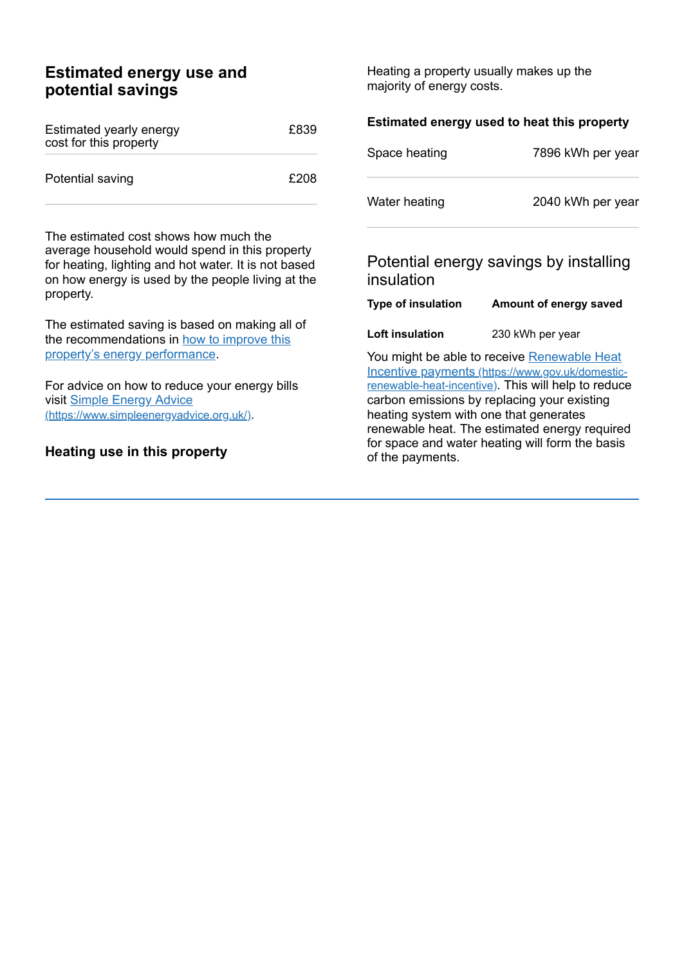## **Estimated energy use and potential savings**

| Estimated yearly energy<br>cost for this property | £839 |
|---------------------------------------------------|------|
| Potential saving                                  | £208 |

The estimated cost shows how much the average household would spend in this property for heating, lighting and hot water. It is not based on how energy is used by the people living at the property.

The estimated saving is based on making all of the [recommendations](#page-2-0) in how to improve this property's energy performance.

For advice on how to reduce your energy bills visit Simple Energy Advice [\(https://www.simpleenergyadvice.org.uk/\)](https://www.simpleenergyadvice.org.uk/).

#### **Heating use in this property**

Heating a property usually makes up the majority of energy costs.

| Estimated energy used to heat this property |                                                                                                                                                                                                                                                                                                         |  |
|---------------------------------------------|---------------------------------------------------------------------------------------------------------------------------------------------------------------------------------------------------------------------------------------------------------------------------------------------------------|--|
| Space heating                               | 7896 kWh per year                                                                                                                                                                                                                                                                                       |  |
| Water heating                               | 2040 kWh per year                                                                                                                                                                                                                                                                                       |  |
| insulation                                  | Potential energy savings by installing                                                                                                                                                                                                                                                                  |  |
| <b>Type of insulation</b>                   | Amount of energy saved                                                                                                                                                                                                                                                                                  |  |
| Loft insulation                             | 230 kWh per year                                                                                                                                                                                                                                                                                        |  |
|                                             | You might be able to receive <b>Renewable Heat</b><br>Incentive payments (https://www.gov.uk/domestic-<br>renewable-heat-incentive). This will help to reduce<br>carbon emissions by replacing your existing<br>heating system with one that generates<br>renewable heat. The estimated energy required |  |

for space and water heating will form the basis of the payments.